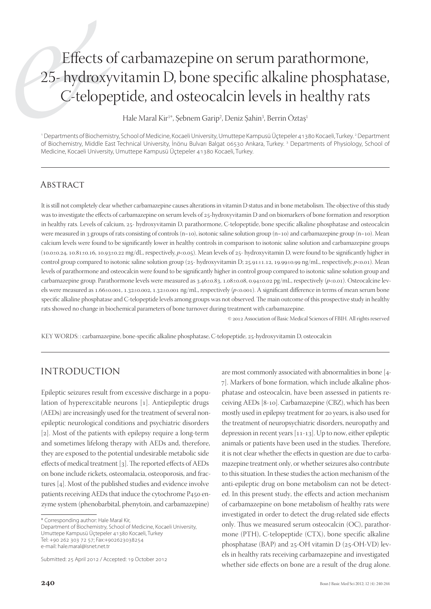# Effects of carbamazepine on serum parathormone, 25- hydroxyvitamin D, bone specific alkaline phosphatase, C-telopeptide, and osteocalcin levels in healthy rats

Hale Maral Kir<sup>1</sup>\*, Şebnem Garip<sup>2</sup>, Deniz Şahin<sup>3</sup>, Berrin Öztaş<sup>ı</sup>

1 Departments of Biochemistry, School of Medicine, Kocaeli University, Umuttepe Kampusü Üçtepeler 41380 Kocaeli, Turkey. 2 Department of Biochemistry, Middle East Technical University, İnönu Bulvarı Balgat 06530 Ankara, Turkey. 3 Departments of Physiology, School of Medicine, Kocaeli University, Umuttepe Kampusü Üçtepeler 41380 Kocaeli, Turkey.

## Abstract

It is still not completely clear whether carbamazepine causes alterations in vitamin D status and in bone metabolism. The objective of this study was to investigate the effects of carbamazepine on serum levels of 25-hydroxyvitamin D and on biomarkers of bone formation and resorption in healthy rats. Levels of calcium, 25- hydroxyvitamin D, parathormone, C-telopeptide, bone specific alkaline phosphatase and osteocalcin were measured in 3 groups of rats consisting of controls (n=10), isotonic saline solution group (n=10) and carbamazepine group (n=10). Mean calcium levels were found to be significantly lower in healthy controls in comparison to isotonic saline solution and carbamazepine groups  $(10.0\pm0.24, 10.81\pm0.16, 10.93\pm0.22 \text{ mg/dL}$ , respectively,  $p<0.05$ ). Mean levels of  $25$ - hydroxyvitamin D, were found to be significantly higher in control group compared to isotonic saline solution group ( $25$ - hydroxyvitamin D;  $25.91 \pm 1.12$ ,  $19.99 \pm 0.99$  ng/mL, respectively,  $p < 0.01$ ). Mean levels of parathormone and osteocalcin were found to be significantly higher in control group compared to isotonic saline solution group and carbamazepine group. Parathormone levels were measured as 3.46±0.83, 1.08±0.08, 0.94±0.02 pg/mL, respectively (p<0.01). Osteocalcine levels were measured as 1.66±0.001, 1.32±0.002, 1.32±0.001 ng/mL, respectively (*p*<0.001). A significant difference in terms of mean serum bone specific alkaline phosphatase and C-telopeptide levels among groups was not observed. The main outcome of this prospective study in healthy rats showed no change in biochemical parameters of bone turnover during treatment with carbamazepine.

 $©$  2012 Association of Basic Medical Sciences of FBIH. All rights reserved

KEY WORDS: : carbamazepine, bone-specific alkaline phosphatase, C-telopeptide, 25-hydroxyvitamin D, osteocalcin

## INTRODUCTION

Epileptic seizures result from excessive discharge in a population of hyperexcitable neurons [1]. Antiepileptic drugs (AEDs) are increasingly used for the treatment of several nonepileptic neurological conditions and psychiatric disorders [2]. Most of the patients with epilepsy require a long-term and sometimes lifelong therapy with AEDs and, therefore, they are exposed to the potential undesirable metabolic side effects of medical treatment [3]. The reported effects of AEDs on bone include rickets, osteomalacia, osteoporosis, and fractures  $[4]$ . Most of the published studies and evidence involve patients receiving AEDs that induce the cytochrome P450 enzyme system (phenobarbital, phenytoin, and carbamazepine)

Department of Biochemistry, School of Medicine, Kocaeli University, Umuttepe Kampusü Üçtepeler 41380 Kocaeli, Turkey Tel: +90 262 303 72 57; Fax:+902623038254 e-mail: hale.maral@isnet.net.tr

Submitted: 25 April 2012 / Accepted: 19 October 2012

are most commonly associated with abnormalities in bone [4-]. Markers of bone formation, which include alkaline phosphatase and osteocalcin, have been assessed in patients receiving AEDs [8-10]. Carbamazepine (CBZ), which has been mostly used in epilepsy treatment for 20 years, is also used for the treatment of neuropsychiatric disorders, neuropathy and depression in recent years  $[11-13]$ . Up to now, either epileptic animals or patients have been used in the studies. Therefore, it is not clear whether the effects in question are due to carbamazepine treatment only, or whether seizures also contribute to this situation. In these studies the action mechanism of the anti-epileptic drug on bone metabolism can not be detected. In this present study, the effects and action mechanism of carbamazepine on bone metabolism of healthy rats were investigated in order to detect the drug-related side effects only. Thus we measured serum osteocalcin  $(OC)$ , parathormone (PTH), C-telopeptide (CTX), bone specific alkaline phosphatase (BAP) and  $25$ -OH vitamin D ( $25$ -OH-VD) levels in healthy rats receiving carbamazepine and investigated whether side effects on bone are a result of the drug alone.

<sup>\*</sup> Corresponding author: Hale Maral Kir,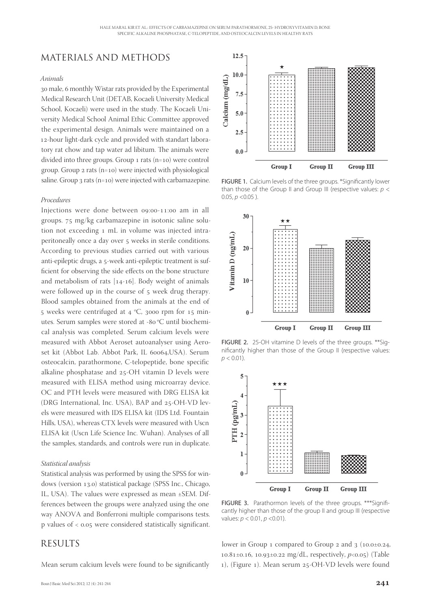## MATERIALS AND METHODS

#### *Animals*

30 male, 6 monthly Wistar rats provided by the Experimental Medical Research Unit (DETAB, Kocaeli University Medical School, Kocaeli) were used in the study. The Kocaeli University Medical School Animal Ethic Committee approved the experimental design. Animals were maintained on a 12-hour light-dark cycle and provided with standart laboratory rat chow and tap water ad libitum. The animals were divided into three groups. Group  $1$  rats (n=10) were control group. Group  $2$  rats (n=10) were injected with physiological saline. Group  $3$  rats (n=10) were injected with carbamazepine.

#### *Procedures*

Injections were done between 09:00-11:00 am in all groups. mg/kg carbamazepine in isotonic saline solution not exceeding 1 mL in volume was injected intraperitoneally once a day over 5 weeks in sterile conditions. According to previous studies carried out with various anti-epileptic drugs, a 5-week anti-epileptic treatment is sufficient for observing the side effects on the bone structure and metabolism of rats  $[14-16]$ . Body weight of animals were followed up in the course of 5 week drug therapy. Blood samples obtained from the animals at the end of 5 weeks were centrifuged at 4  $°C$ , 3000 rpm for 15 minutes. Serum samples were stored at -80 °C until biochemical analysis was completed. Serum calcium levels were measured with Abbot Aeroset autoanalyser using Aeroset kit (Abbot Lab. Abbot Park, IL 60064, USA). Serum osteocalcin, parathormone, C-telopeptide, bone specific alkaline phosphatase and  $25$ -OH vitamin D levels were measured with ELISA method using microarray device. OC and PTH levels were measured with DRG ELISA kit (DRG International, Inc. USA), BAP and 25-OH-VD levels were measured with IDS ELISA kit (IDS Ltd. Fountain Hills, USA), whereas CTX levels were measured with Uscn ELISA kit (Uscn Life Science Inc. Wuhan). Analyses of all the samples, standards, and controls were run in duplicate.

#### *Statistical analysis*

Statistical analysis was performed by using the SPSS for windows (version 13.0) statistical package (SPSS Inc., Chicago, IL, USA). The values were expressed as mean ±SEM. Differences between the groups were analyzed using the one way ANOVA and Bonferroni multiple comparisons tests. p values of  $<$  0.05 were considered statistically significant.

### **RESULTS**

Mean serum calcium levels were found to be significantly



FIGURE 1. Calcium levels of the three groups. \*Significantly lower than those of the Group II and Group III (respective values:  $p <$  $0.05, p < 0.05$ ).



FIGURE 2. 25-OH vitamine D levels of the three groups. \*\*Significantly higher than those of the Group II (respective values:  $p < 0.01$ ).



FIGURE 3. Parathormon levels of the three groups. \*\*\* Significantly higher than those of the group II and group III (respective values:  $p < 0.01$ ,  $p < 0.01$ ).

lower in Group 1 compared to Group 2 and  $\frac{1}{3}$  (10.0 $\pm$ 0.24, 10.81±0.16, 10.93±0.22 mg/dL, respectively,  $p<0.05$ ) (Table 1), (Figure 1). Mean serum 25-OH-VD levels were found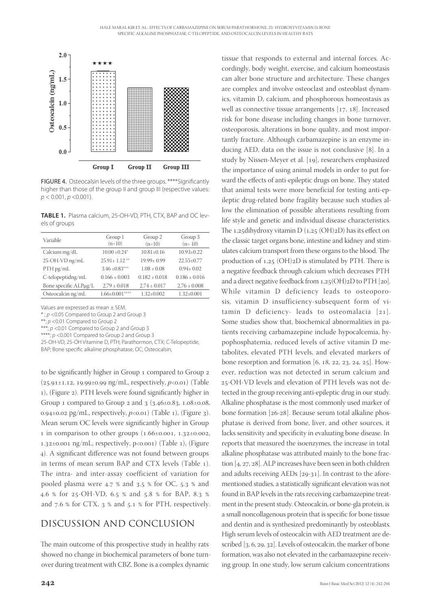

FIGURE 4. Osteocalsin levels of the three groups. \*\*\*\* Significantly higher than those of the group II and group III (respective values:  $p < 0.001, p < 0.001$ ).

**TABLE 1.** Plasma calcium, 25-OH-VD, PTH, CTX, BAP and OC levels of groups

| Variable              | Group 1<br>$(n=10)$   | Group 2<br>$(n=10)$ | Group 3<br>$(n=10)$ |
|-----------------------|-----------------------|---------------------|---------------------|
| Calcium mg/dL         | $10.00 + 0.24*$       | $10.81 + 0.16$      | $10.93 \pm 0.22$    |
| 25-OH-VD ng/mL        | $25.91 \pm 1.12$ **   | $19.99 + 0.99$      | $22.55+0.77$        |
| PTH pg/mL             | $3.46 \pm 0.83***$    | $1.08 \pm 0.08$     | $0.94 + 0.02$       |
| C-telopeptidng/mL     | $0.166 + 0.003$       | $0.182 + 0.018$     | $0.186 + 0.016$     |
| Bone specific ALPµg/L | $2.79 \pm 0.018$      | $2.74 + 0.017$      | $2.76 + 0.008$      |
| Osteocalcin ng/mL     | $1.66 \pm 0.001$ **** | $1.32 \pm 0.002$    | $1.32 \pm 0.001$    |
|                       |                       |                     |                     |

Values are expressed as mean ± SEM.

\* ; p <0.05 Compared to Group 2 and Group 3

 $*_p$  =  $p$  < 0.01 Compared to Group 2

\*\*\*; p <0.01 Compared to Group 2 and Group 3

\*\*\*\*; p <0.001 Compared to Group 2 and Group 3

25-OH-VD; 25-OH Vitamine D, PTH; Parathormon, CTX; C-Telopeptide, BAP; Bone specific alkaline phosphatase, OC; Osteocalsin,

to be significantly higher in Group 1 compared to Group 2  $(25.91 \pm 1.12, 19.99 \pm 0.99 \text{ ng/mL},$  respectively,  $p < 0.01$ ) (Table 1), (Figure 2). PTH levels were found significantly higher in Group 1 compared to Group 2 and  $3$  ( $3.46\pm0.83$ ,  $1.08\pm0.08$ , 0.94 $\pm$ 0.02 pg/mL, respectively,  $p<0.01$  (Table 1), (Figure 3). Mean serum OC levels were significantly higher in Group 1 in comparison to other groups  $(1.66\pm0.001, 1.32\pm0.002,$  $1.32\pm0.001$  ng/mL, respectively, p<0.001) (Table 1), (Figure 4). A significant difference was not found between groups in terms of mean serum BAP and CTX levels (Table 1). The intra- and inter-assay coefficient of variation for pooled plasma were 4.7 % and 3.5 % for OC, 5.3 % and 4.6 % for 25-OH-VD, 6.5 % and 5.8 % for BAP, 8.3 % and  $7.6$  % for CTX,  $3$  % and  $5.1$  % for PTH, respectively.

## DISCUSSION AND CONCLUSION

The main outcome of this prospective study in healthy rats showed no change in biochemical parameters of bone turnover during treatment with CBZ. Bone is a complex dynamic

tissue that responds to external and internal forces. Accordingly, body weight, exercise, and calcium homeostasis can alter bone structure and architecture. These changes are complex and involve osteoclast and osteoblast dynamics, vitamin D, calcium, and phosphorous homeostasis as well as connective tissue arrangements  $[17, 18]$ . Increased risk for bone disease including changes in bone turnover, osteoporosis, alterations in bone quality, and most importantly fracture. Although carbamazepine is an enzyme inducing AED, data on the issue is not conclusive  $[8]$ . In a study by Nissen-Meyer et al. [19], researchers emphasized the importance of using animal models in order to put forward the effects of anti-epileptic drugs on bone. They stated that animal tests were more beneficial for testing anti-epileptic drug-related bone fragility because such studies allow the elimination of possible alterations resulting from life style and genetic and individual disease characteristics. The 1,25dihydroxy vitamin D  $(1,25 \text{ (OH)}2D)$  has its effect on the classic target organs bone, intestine and kidney and stimulates calcium transport from these organs to the blood. The production of  $1,25$  (OH) $2D$  is stimulated by PTH. There is a negative feedback through calcium which decreases PTH and a direct negative feedback from  $1,25(OH)2D$  to PTH [20]. While vitamin D deficiency leads to osteoporosis, vitamin D insufficiency-subsequent form of vitamin D deficiency- leads to osteomalacia  $[21]$ . Some studies show that, biochemical abnormalities in patients receiving carbamazepine include hypocalcemia, hypophosphatemia, reduced levels of active vitamin D metabolites, elevated PTH levels, and elevated markers of bone resorption and formation  $[6, 18, 22, 23, 24, 25]$ . However, reduction was not detected in serum calcium and 25-OH-VD levels and elevation of PTH levels was not detected in the group receiving anti-epileptic drug in our study. Alkaline phosphatase is the most commonly used marker of bone formation [26-28]. Because serum total alkaline phosphatase is derived from bone, liver, and other sources, it lacks sensitivity and specificity in evaluating bone disease. In reports that measured the isoenzymes, the increase in total alkaline phosphatase was attributed mainly to the bone fraction  $[4, 27, 28]$ . ALP increases have been seen in both children and adults receiving AEDs  $[29-31]$ . In contrast to the aforementioned studies, a statistically significant elevation was not found in BAP levels in the rats receiving carbamazepine treatment in the present study. Osteocalcin, or bone-gla protein, is a small noncollagenous protein that is specific for bone tissue and dentin and is synthesized predominantly by osteoblasts. High serum levels of osteocalcin with AED treatment are described  $[3, 6, 29, 32]$ . Levels of osteocalcin, the marker of bone formation, was also not elevated in the carbamazepine receiving group. In one study, low serum calcium concentrations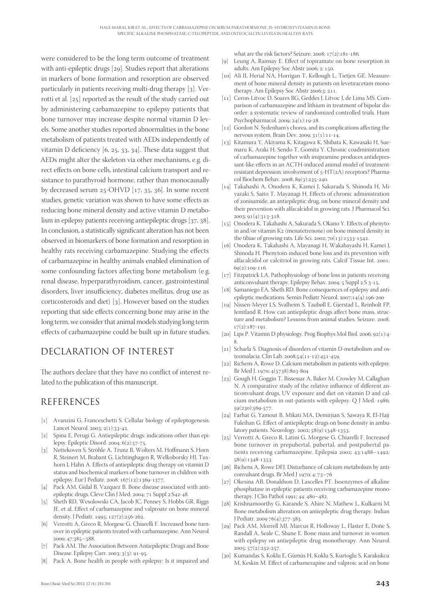were considered to be the long term outcome of treatment with anti-epileptic drugs  $[29]$ . Studies report that alterations in markers of bone formation and resorption are observed particularly in patients receiving multi-drug therapy  $[3]$ . Verrotti et al.  $[25]$  reported as the result of the study carried out by administering carbamazepine to epilepsy patients that bone turnover may increase despite normal vitamin D levels. Some another studies reported abnormalities in the bone metabolism of patients treated with AEDs independently of vitamin D deficiency  $[6, 25, 33, 34]$ . These data suggest that AEDs might alter the skeleton via other mechanisms, e.g. direct effects on bone cells, intestinal calcium transport and resistance to parathyroid hormone, rather than monocausally by decreased serum  $25$ -OHVD [17, 35, 36]. In some recent studies, genetic variation was shown to have some effects as reducing bone mineral density and active vitamin D metabolism in epilepsy patients receiving antiepileptic drugs  $[37, 38]$ . In conclusion, a statistically significant alteration has not been observed in biomarkers of bone formation and resorption in healthy rats receiving carbamazepine. Studying the effects of carbamazepine in healthy animals enabled elimination of some confounding factors affecting bone metabolism (e.g. renal disease, hyperparathyroidism, cancer, gastrointestinal disorders, liver insufficiency, diabetes mellitus, drug use as corticosteroids and diet)  $\lceil 3 \rceil$ . However based on the studies reporting that side effects concerning bone may arise in the long term, we consider that animal models studying long term effects of carbamazepine could be built up in future studies.

# DECLARATION OF INTEREST

The authors declare that they have no conflict of interest related to the publication of this manuscript.

## REFERENCES

- [1] Avanzini G, Franceschetti S. Cellular biology of epileptogenesis. Lancet Neurol. 2003; 2(1):33-42.
- [2] Spina E, Perugi G. Antiepileptic drugs: indications other than epilepsy. Epileptic Disord. 2004;  $6(2):57-75$ .
- [3] Nettekoven S, Ströhle A, Trunz B, Wolters M, Hoffmann S, Horn R, Steinert M, Brabant G, Lichtinghagen R, Welkoborsky HJ, Tuxhorn I, Hahn A. Effects of antiepileptic drug therapy on vitamin D status and biochemical markers of bone turnover in children with epilepsy. Eur J Pediatr. 2008; 167(12):1369-1377.
- [4] Pack AM, Gidal B, Vazquez B. Bone disease associated with antiepileptic drugs. Cleve Clin J Med. 2004; 71 Suppl 2:S42-48.
- [5] Sheth RD, Wesolowski CA, Jacob JC, Penney S, Hobbs GR, Riggs JE. et al. Effect of carbamazepine and valproate on bone mineral density. J Pediatr. 1995; 127(2):256-262.
- [6] Verrotti A, Greco R, Morgese G, Chiarelli F. Increased bone turnover in epileptic patients treated with carbamazepine. Ann Neurol 2000; 47:385-388.
- [7] Pack AM. The Association Between Antiepileptic Drugs and Bone Disease. Epilepsy Curr. 2003; 3(3): 91-95.
- [8] Pack A. Bone health in people with epilepsy: Is it impaired and

what are the risk factors? Seizure. 2008;  $17(2):181-186$ .

- [9] Leung A, Ramsay E. Effect of topiramate on bone resorption in adults. Am Epilepsy Soc Abstr 2006; 2: 150.
- [10] Ali II, Herial NA, Horrigan T, Kellough L, Tietjen GE. Measurement of bone mineral density in patients on levetiracetam monotherapy. Am Epilepsy Soc Abstr 2006;3: 211.
- [11] Ceron-Litvoc D, Soares BG, Geddes J, Litvoc J, de Lima MS. Comparison of carbamazepine and lithium in treatment of bipolar disorder: a systematic review of randomized controlled trials. Hum Psychopharmacol. 2009;  $24(1):19-28$ .
- [12] Gordon N. Sydenham's chorea, and its complications affecting the nervous system. Brain Dev. 2009; 31(1):11-14.
- [13] Kitamura Y, Akiyama K, Kitagawa K, Shibata K, Kawasaki H, Suemaru K, Araki H, Sendo T, Gomita Y. Chronic coadministration of carbamazepine together with imipramine produces antidepressant-like effects in an ACTH-induced animal model of treatmentresistant depression: involvement of  $5$ -HT( $2A$ ) receptors? Pharmacol Biochem Behav. 2008; 89(3):235-240.
- [14] Takahashi A, Onodera K, Kamei J, Sakurada S, Shinoda H, Miyazaki S, Saito T, Mayanagi H. Effects of chronic administration of zonisamide, an antiepileptic drug, on bone mineral density and their prevention with alfacalcidol in growing rats. J Pharmacol Sci. 2003; 91(4):313-318.
- [15] Onodera K, Takahashi A, Sakurada S, Okano Y. Effects of phenytoin and/or vitamin  $K_2$  (menatetrenone) on bone mineral density in the tibiae of growing rats. Life Sci. 2002;  $70(13):1533-1542$ .
- [16] Onodera K, Takahashi A, Mayanagi H, Wakabayashi H, Kamei J, Shinoda H. Phenytoin-induced bone loss and its prevention with alfacalcidol or calcitriol in growing rats. Calcif Tissue Int. 2001;  $69(2):109-116$
- [17] Fitzpatrick LA. Pathophysiology of bone loss in patients receiving anticonvulsant therapy. Epilepsy Behav. 2004; 5 Suppl 2:S 3-15.
- [18] Samaniego EA, Sheth RD. Bone consequences of epilepsy and antiepileptic medications. Semin Pediatr Neurol. 2007;14(4):196-200
- [19] Nissen-Meyer LS, Svalheim S, Taubøll E, Gjerstad L, Reinholt FP, Jemtland R. How can antiepileptic drugs affect bone mass, structure and metabolism? Lessons from animal studies. Seizure. 2008;  $17(2):187-191.$
- [20] Lips P. Vitamin D physiology. Prog Biophys Mol Biol. 2006; 92(1):4-.
- [21] Scharla S. Diagnosis of disorders of vitamin D-metabolism and osteomalacia. Clin Lab. 2008;54(11-12):451-459.
- [22] Richens A, Rowe D. Calcium metabolism in patients with epilepsy. Br Med J. 1970; 4(5738):803-804
- [23] Gough H, Goggin T, Bissessar A, Baker M, Crowley M, Callaghan N. A comparative study of the relative influence of different anticonvulsant drugs, UV exposure and diet on vitamin D and calcium metabolism in out-patients with epilepsy. Q J Med. 1986; 59(230):569-577.
- [24] Farhat G, Yamout B, Mikati MA, Demirjian S, Sawaya R, El-Hajj Fuleihan G. Effect of antiepileptic drugs on bone density in ambulatory patients. Neurology. 2002; 58(9):1348-1353.
- [25] Verrotti A, Greco R, Latini G, Morgese G, Chiarelli F. Increased bone turnover in prepubertal, pubertal, and postpubertal patients receiving carbamazepine. Epilepsia 2002; 43:1488-1492; 58(9):1348-1353.
- [26] Richens A, Rowe DFJ. Disturbance of calcium metabolism by anticonvulsant drugs. Br Med J 1970; 4: 73-76
- [27] Okesina AB, Donaldson D, Lascelles PT. Isoenzymes of alkaline phosphatase in epileptic patients receiving carbamazepine monotherapy. J Clin Pathol 1991; 44: 480-482.
- [28] Krishnamoorthy G, Karande S, Ahire N, Mathew L, Kulkarni M. Bone metabolism alteration on antiepileptic drug therapy. Indian J Pediatr. 2009 76(4):377-383.
- [29] Pack AM, Morrell MJ, Marcus R, Holloway L, Flaster E, Doñe S, Randall A, Seale C, Shane E. Bone mass and turnover in women with epilepsy on antiepileptic drug monotherapy. Ann Neurol. 2005;  $57(2):252-257$ .
- [30] Kumandas S, Koklu E, Gümüs H, Koklu S, Kurtoglu S, Karakukcu M, Keskin M. Effect of carbamezapine and valproic acid on bone